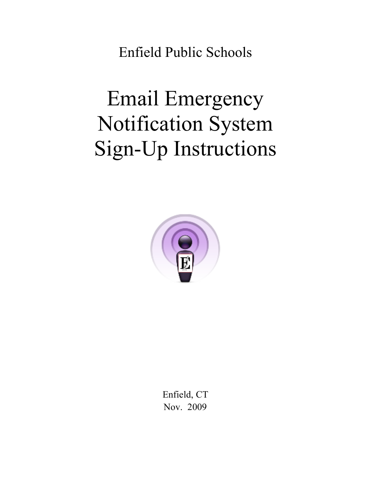Enfield Public Schools

# Email Emergency Notification System Sign-Up Instructions



Enfield, CT Nov. 2009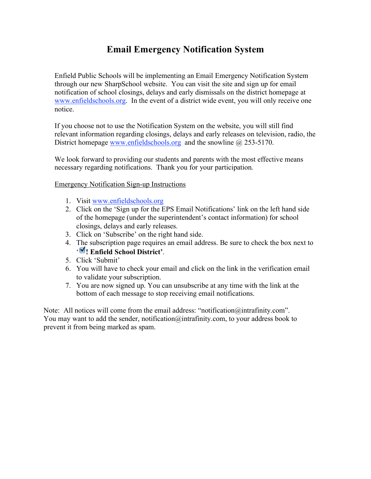## **Email Emergency Notification System**

Enfield Public Schools will be implementing an Email Emergency Notification System through our new SharpSchool website. You can visit the site and sign up for email notification of school closings, delays and early dismissals on the district homepage at www.enfieldschools.org. In the event of a district wide event, you will only receive one notice.

If you choose not to use the Notification System on the website, you will still find relevant information regarding closings, delays and early releases on television, radio, the District homepage www.enfieldschools.org and the snowline @ 253-5170.

We look forward to providing our students and parents with the most effective means necessary regarding notifications. Thank you for your participation.

Emergency Notification Sign-up Instructions

- 1. Visit www.enfieldschools.org
- 2. Click on the 'Sign up for the EPS Email Notifications' link on the left hand side of the homepage (under the superintendent's contact information) for school closings, delays and early releases.
- 3. Click on 'Subscribe' on the right hand side.
- 4. The subscription page requires an email address. Be sure to check the box next to ' **! Enfield School District'**.
- 5. Click 'Submit'
- 6. You will have to check your email and click on the link in the verification email to validate your subscription.
- 7. You are now signed up. You can unsubscribe at any time with the link at the bottom of each message to stop receiving email notifications.

Note: All notices will come from the email address: "notification@intrafinity.com". You may want to add the sender, notification@intrafinity.com, to your address book to prevent it from being marked as spam.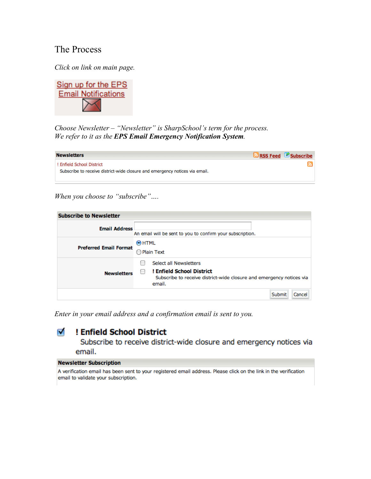### The Process

*Click on link on main page.*



*Choose Newsletter – "Newsletter" is SharpSchool's term for the process. We refer to it as the EPS Email Emergency Notification System.*

| <b>Newsletters</b>                                                                                       | RSS Feed <b>&amp; Subscribe</b> |
|----------------------------------------------------------------------------------------------------------|---------------------------------|
| ! Enfield School District<br>Subscribe to receive district-wide closure and emergency notices via email. |                                 |

*When you choose to "subscribe"….*

| <b>Subscribe to Newsletter</b> |                                                                                                                                       |  |  |  |  |
|--------------------------------|---------------------------------------------------------------------------------------------------------------------------------------|--|--|--|--|
| <b>Email Address</b>           | An email will be sent to you to confirm your subscription.                                                                            |  |  |  |  |
| <b>Preferred Email Format</b>  | $\odot$ HTML<br>Plain Text                                                                                                            |  |  |  |  |
| <b>Newsletters</b>             | Select all Newsletters<br>! Enfield School District<br>Subscribe to receive district-wide closure and emergency notices via<br>email. |  |  |  |  |
|                                | Submit<br>Cancel                                                                                                                      |  |  |  |  |

*Enter in your email address and a confirmation email is sent to you.*

#### M ! Enfield School District

Subscribe to receive district-wide closure and emergency notices via email.

#### **Newsletter Subscription**

A verification email has been sent to your registered email address. Please click on the link in the verification email to validate your subscription.